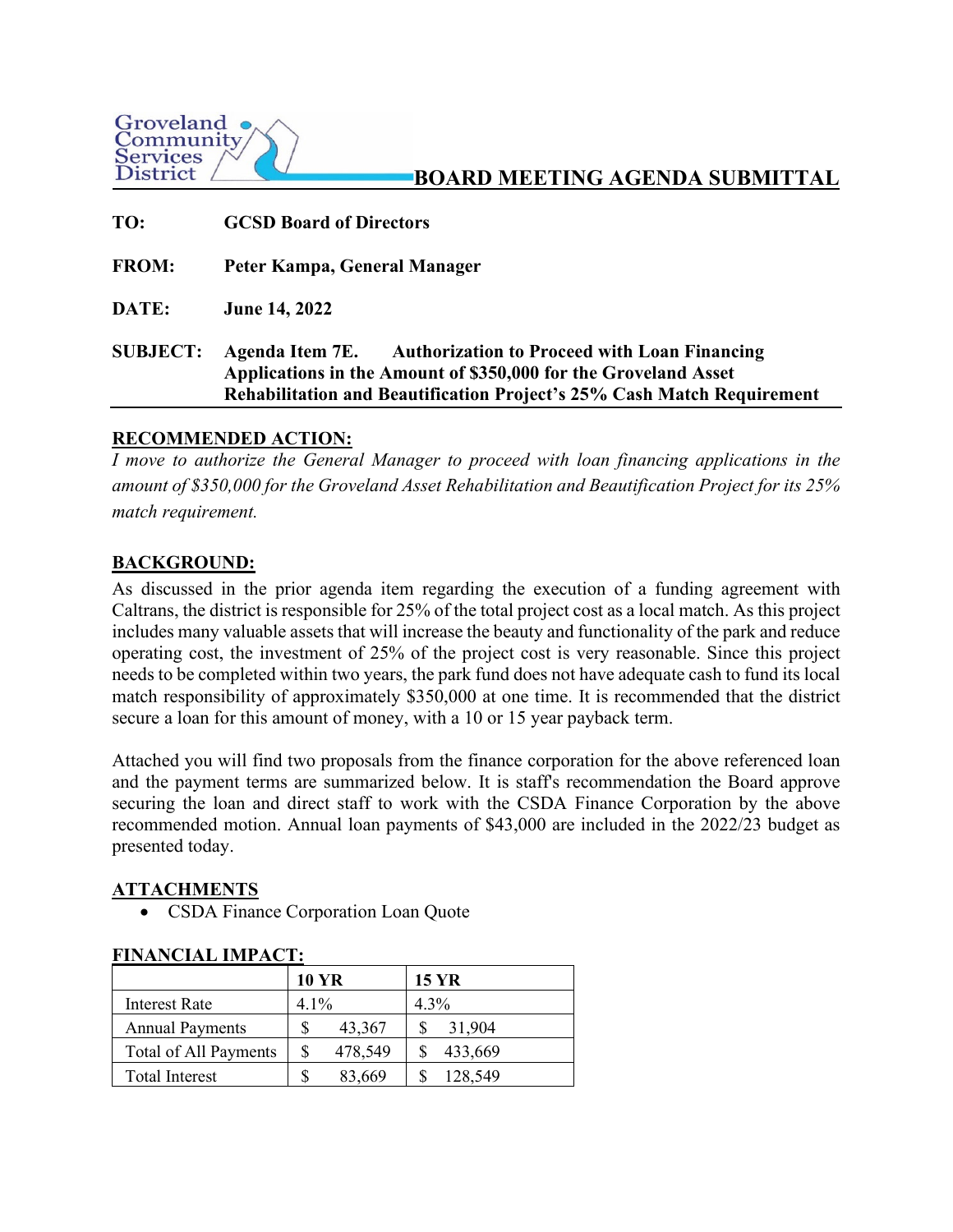

**BOARD MEETING AGENDA SUBMITTAL**

| TO:             | <b>GCSD Board of Directors</b>                                                                                                                                                                                   |
|-----------------|------------------------------------------------------------------------------------------------------------------------------------------------------------------------------------------------------------------|
| <b>FROM:</b>    | Peter Kampa, General Manager                                                                                                                                                                                     |
| DATE:           | <b>June 14, 2022</b>                                                                                                                                                                                             |
| <b>SUBJECT:</b> | Agenda Item 7E. Authorization to Proceed with Loan Financing<br>Applications in the Amount of \$350,000 for the Groveland Asset<br><b>Rehabilitation and Beautification Project's 25% Cash Match Requirement</b> |

## **RECOMMENDED ACTION:**

*I* move to authorize the General Manager to proceed with loan financing applications in the *amount of \$350,000 for the Groveland Asset Rehabilitation and Beautification Project for its 25% match requirement.* 

## **BACKGROUND:**

As discussed in the prior agenda item regarding the execution of a funding agreement with Caltrans, the district is responsible for 25% of the total project cost as a local match. As this project includes many valuable assets that will increase the beauty and functionality of the park and reduce operating cost, the investment of 25% of the project cost is very reasonable. Since this project needs to be completed within two years, the park fund does not have adequate cash to fund its local match responsibility of approximately \$350,000 at one time. It is recommended that the district secure a loan for this amount of money, with a 10 or 15 year payback term.

Attached you will find two proposals from the finance corporation for the above referenced loan and the payment terms are summarized below. It is staff's recommendation the Board approve securing the loan and direct staff to work with the CSDA Finance Corporation by the above recommended motion. Annual loan payments of \$43,000 are included in the 2022/23 budget as presented today.

## **ATTACHMENTS**

• CSDA Finance Corporation Loan Quote

|                        | <b>10 YR</b> |         |         | <b>15 YR</b> |
|------------------------|--------------|---------|---------|--------------|
| Interest Rate          | $4.1\%$      |         | $4.3\%$ |              |
| <b>Annual Payments</b> |              | 43,367  |         | 31,904       |
| Total of All Payments  |              | 478,549 |         | 433,669      |
| <b>Total Interest</b>  |              | 83,669  |         | 128,549      |

## **FINANCIAL IMPACT:**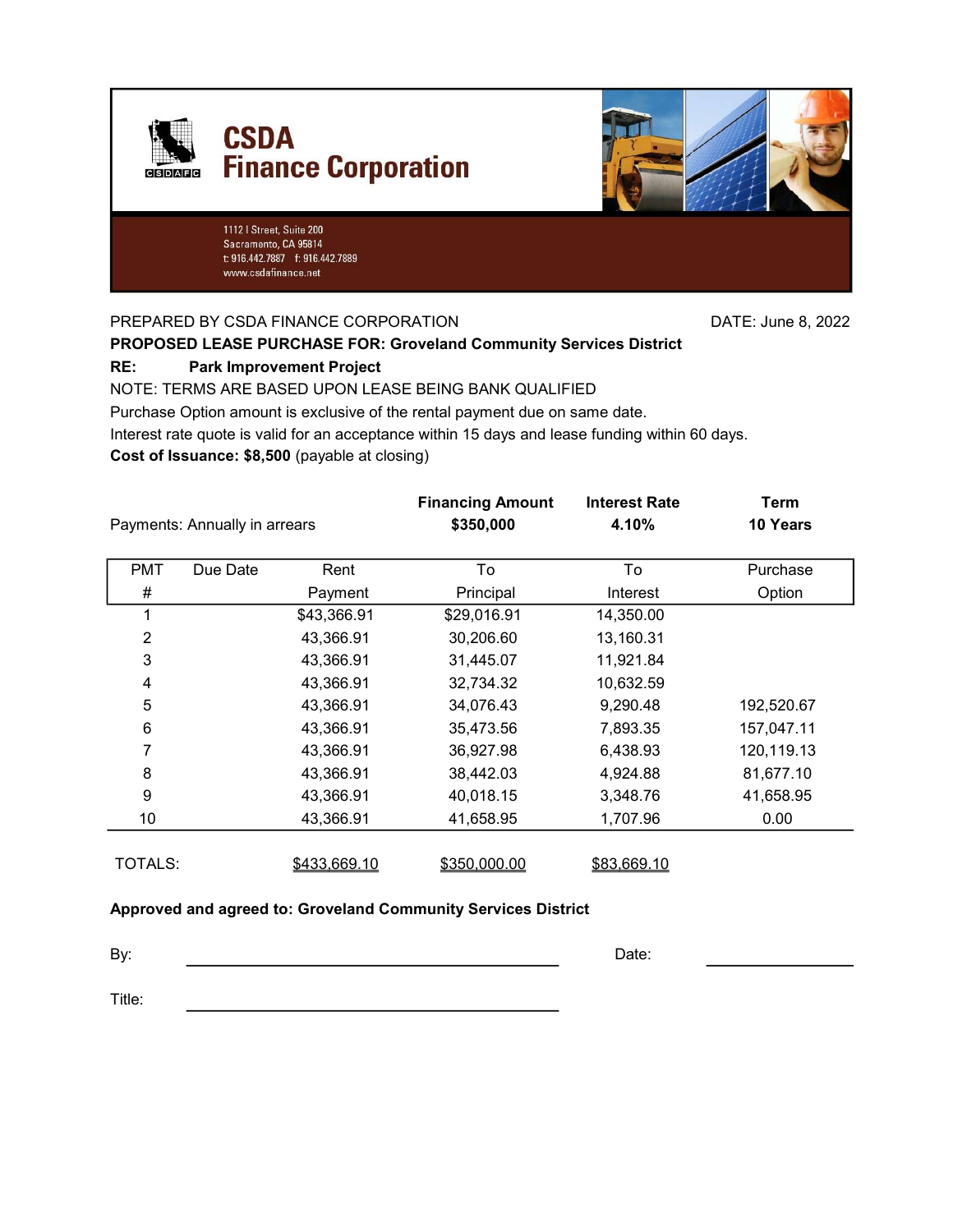



1112 | Street, Suite 200 Sacramento, CA 95814 t: 916.442.7887 f: 916.442.7889 www.csdafinance.net

PREPARED BY CSDA FINANCE CORPORATION DATE: June 8, 2022

## PROPOSED LEASE PURCHASE FOR: Groveland Community Services District

#### RE: Park Improvement Project

NOTE: TERMS ARE BASED UPON LEASE BEING BANK QUALIFIED

Purchase Option amount is exclusive of the rental payment due on same date.

Interest rate quote is valid for an acceptance within 15 days and lease funding within 60 days.

Cost of Issuance: \$8,500 (payable at closing)

| Payments: Annually in arrears |          |              | <b>Financing Amount</b><br>\$350,000 | <b>Interest Rate</b><br>4.10% | Term<br>10 Years |
|-------------------------------|----------|--------------|--------------------------------------|-------------------------------|------------------|
| <b>PMT</b>                    | Due Date | Rent         | To                                   | To                            | Purchase         |
| #                             |          | Payment      | Principal                            | Interest                      | Option           |
| 1                             |          | \$43,366.91  | \$29,016.91                          | 14,350.00                     |                  |
| $\overline{2}$                |          | 43,366.91    | 30,206.60                            | 13,160.31                     |                  |
| 3                             |          | 43,366.91    | 31,445.07                            | 11,921.84                     |                  |
| 4                             |          | 43,366.91    | 32,734.32                            | 10,632.59                     |                  |
| 5                             |          | 43,366.91    | 34,076.43                            | 9,290.48                      | 192,520.67       |
| 6                             |          | 43,366.91    | 35,473.56                            | 7,893.35                      | 157,047.11       |
| 7                             |          | 43,366.91    | 36,927.98                            | 6,438.93                      | 120,119.13       |
| 8                             |          | 43,366.91    | 38,442.03                            | 4,924.88                      | 81,677.10        |
| 9                             |          | 43,366.91    | 40,018.15                            | 3,348.76                      | 41,658.95        |
| 10                            |          | 43,366.91    | 41,658.95                            | 1,707.96                      | 0.00             |
| TOTALS:                       |          | \$433,669.10 | \$350,000.00                         | \$83,669.10                   |                  |

#### Approved and agreed to: Groveland Community Services District

By: Date: The contract of the contract of the contract of the contract of the contract of the contract of the contract of the contract of the contract of the contract of the contract of the contract of the contract of the

Title: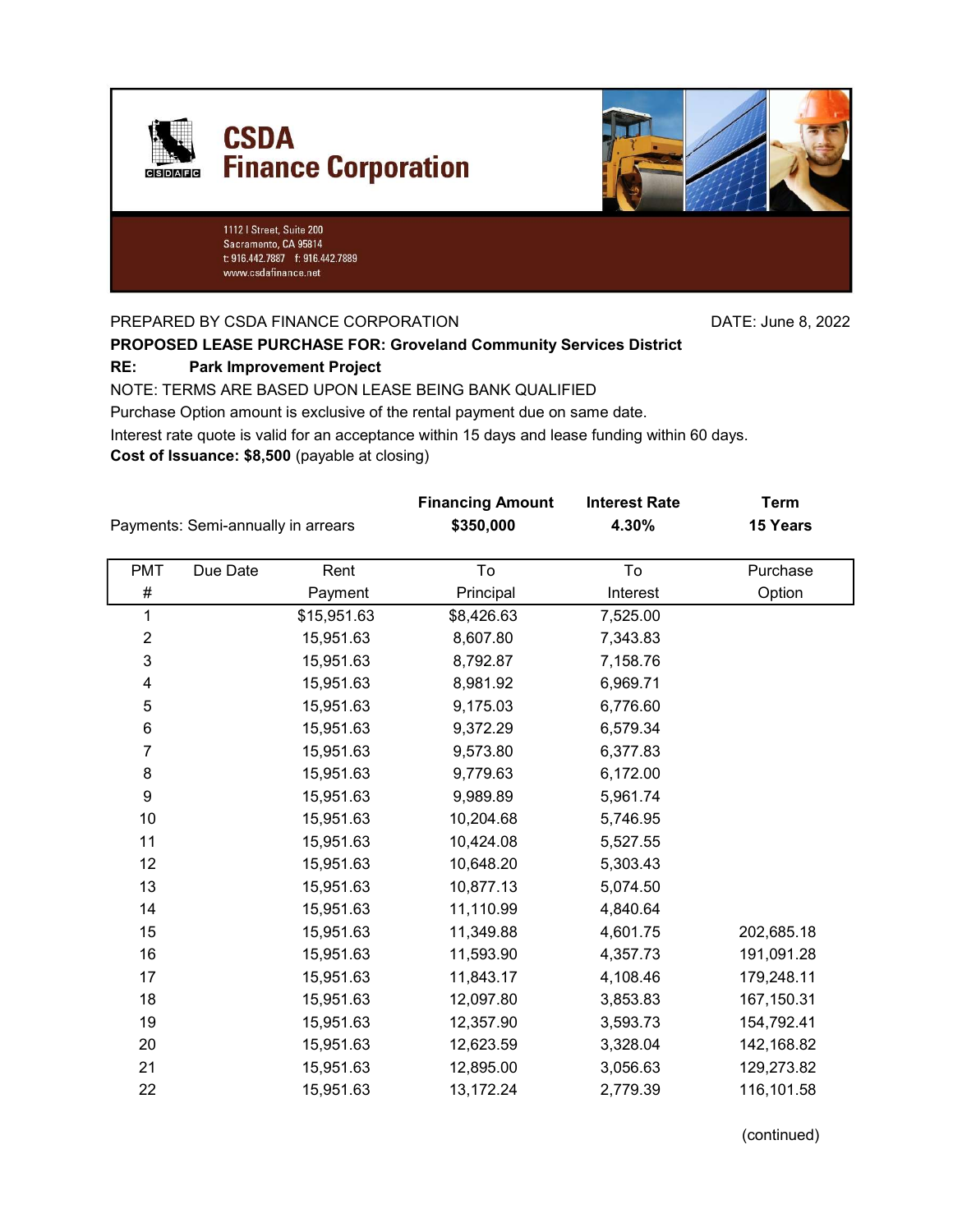



1112 | Street, Suite 200 Sacramento, CA 95814 t: 916.442.7887 f: 916.442.7889 www.csdafinance.net

PREPARED BY CSDA FINANCE CORPORATION DATE: June 8, 2022

### PROPOSED LEASE PURCHASE FOR: Groveland Community Services District

#### RE: Park Improvement Project

NOTE: TERMS ARE BASED UPON LEASE BEING BANK QUALIFIED

Purchase Option amount is exclusive of the rental payment due on same date.

Interest rate quote is valid for an acceptance within 15 days and lease funding within 60 days.

Cost of Issuance: \$8,500 (payable at closing)

| Payments: Semi-annually in arrears |          |             | <b>Financing Amount</b><br>\$350,000 | <b>Interest Rate</b><br>4.30% | <b>Term</b><br>15 Years |  |
|------------------------------------|----------|-------------|--------------------------------------|-------------------------------|-------------------------|--|
| <b>PMT</b>                         | Due Date | Rent        | To                                   | To                            | Purchase                |  |
| #                                  |          | Payment     | Principal                            | Interest                      | Option                  |  |
| 1                                  |          | \$15,951.63 | \$8,426.63                           | 7,525.00                      |                         |  |
| $\overline{\mathbf{c}}$            |          | 15,951.63   | 8,607.80                             | 7,343.83                      |                         |  |
| 3                                  |          | 15,951.63   | 8,792.87                             | 7,158.76                      |                         |  |
| 4                                  |          | 15,951.63   | 8,981.92                             | 6,969.71                      |                         |  |
| $\mathbf 5$                        |          | 15,951.63   | 9,175.03                             | 6,776.60                      |                         |  |
| 6                                  |          | 15,951.63   | 9,372.29                             | 6,579.34                      |                         |  |
| $\overline{7}$                     |          | 15,951.63   | 9,573.80                             | 6,377.83                      |                         |  |
| 8                                  |          | 15,951.63   | 9,779.63                             | 6,172.00                      |                         |  |
| 9                                  |          | 15,951.63   | 9,989.89                             | 5,961.74                      |                         |  |
| 10                                 |          | 15,951.63   | 10,204.68                            | 5,746.95                      |                         |  |
| 11                                 |          | 15,951.63   | 10,424.08                            | 5,527.55                      |                         |  |
| 12                                 |          | 15,951.63   | 10,648.20                            | 5,303.43                      |                         |  |
| 13                                 |          | 15,951.63   | 10,877.13                            | 5,074.50                      |                         |  |
| 14                                 |          | 15,951.63   | 11,110.99                            | 4,840.64                      |                         |  |
| 15                                 |          | 15,951.63   | 11,349.88                            | 4,601.75                      | 202,685.18              |  |
| 16                                 |          | 15,951.63   | 11,593.90                            | 4,357.73                      | 191,091.28              |  |
| 17                                 |          | 15,951.63   | 11,843.17                            | 4,108.46                      | 179,248.11              |  |
| 18                                 |          | 15,951.63   | 12,097.80                            | 3,853.83                      | 167,150.31              |  |
| 19                                 |          | 15,951.63   | 12,357.90                            | 3,593.73                      | 154,792.41              |  |
| 20                                 |          | 15,951.63   | 12,623.59                            | 3,328.04                      | 142,168.82              |  |
| 21                                 |          | 15,951.63   | 12,895.00                            | 3,056.63                      | 129,273.82              |  |
| 22                                 |          | 15,951.63   | 13,172.24                            | 2,779.39                      | 116,101.58              |  |

(continued)